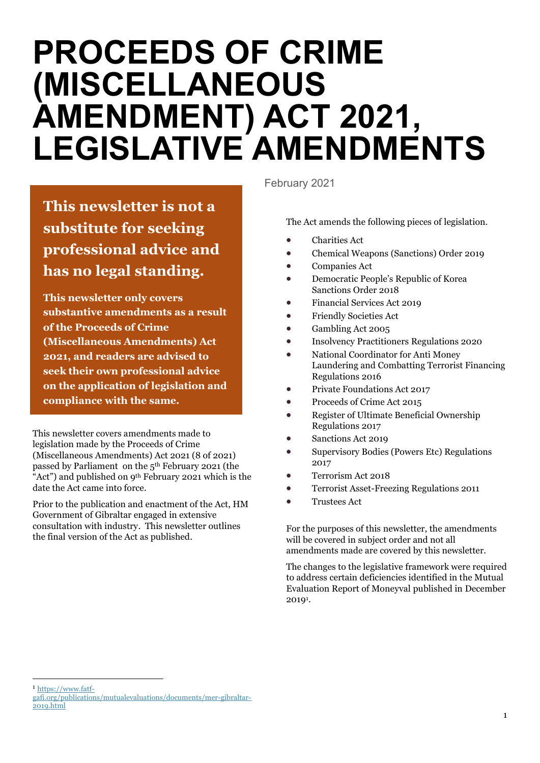# **PROCEEDS OF CRIME (MISCELLANEOUS AMENDMENT) ACT 2021, LEGISLATIVE AMENDMENTS**

**This newsletter is not a substitute for seeking professional advice and has no legal standing.** 

**This newsletter only covers substantive amendments as a result of the Proceeds of Crime (Miscellaneous Amendments) Act 2021, and readers are advised to seek their own professional advice on the application of legislation and compliance with the same.**

This newsletter covers amendments made to legislation made by the Proceeds of Crime (Miscellaneous Amendments) Act 2021 (8 of 2021) passed by Parliament on the 5th February 2021 (the "Act") and published on 9<sup>th</sup> February 2021 which is the date the Act came into force.

Prior to the publication and enactment of the Act, HM Government of Gibraltar engaged in extensive consultation with industry. This newsletter outlines the final version of the Act as published.

February 2021

The Act amends the following pieces of legislation.

- Charities Act
- Chemical Weapons (Sanctions) Order 2019
- Companies Act
- Democratic People's Republic of Korea Sanctions Order 2018
- Financial Services Act 2019
- Friendly Societies Act
- Gambling Act 2005
- Insolvency Practitioners Regulations 2020
- National Coordinator for Anti Money Laundering and Combatting Terrorist Financing Regulations 2016
- Private Foundations Act 2017
- Proceeds of Crime Act 2015
- Register of Ultimate Beneficial Ownership Regulations 2017
- Sanctions Act 2019
- Supervisory Bodies (Powers Etc) Regulations 2017
- Terrorism Act 2018
- Terrorist Asset-Freezing Regulations 2011
- Trustees Act

For the purposes of this newsletter, the amendments will be covered in subject order and not all amendments made are covered by this newsletter.

The changes to the legislative framework were required to address certain deficiencies identified in the Mutual Evaluation Report of Moneyval published in December 2019<sup>1</sup>.

<sup>1</sup> [https://www.fatf-](https://www.fatf-gafi.org/publications/mutualevaluations/documents/mer-gibraltar-2019.html)

[gafi.org/publications/mutualevaluations/documents/mer-gibraltar-](https://www.fatf-gafi.org/publications/mutualevaluations/documents/mer-gibraltar-2019.html)[2019.html](https://www.fatf-gafi.org/publications/mutualevaluations/documents/mer-gibraltar-2019.html)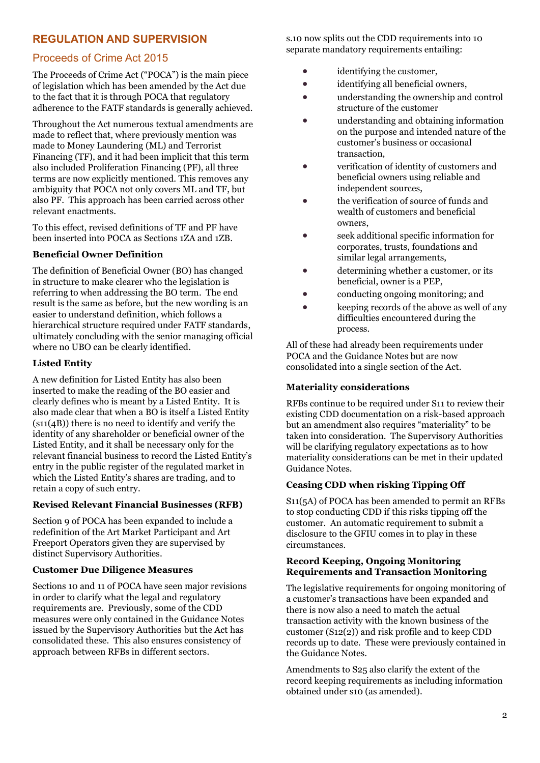# **REGULATION AND SUPERVISION**

# Proceeds of Crime Act 2015

The Proceeds of Crime Act ("POCA") is the main piece of legislation which has been amended by the Act due to the fact that it is through POCA that regulatory adherence to the FATF standards is generally achieved.

Throughout the Act numerous textual amendments are made to reflect that, where previously mention was made to Money Laundering (ML) and Terrorist Financing (TF), and it had been implicit that this term also included Proliferation Financing (PF), all three terms are now explicitly mentioned. This removes any ambiguity that POCA not only covers ML and TF, but also PF. This approach has been carried across other relevant enactments.

To this effect, revised definitions of TF and PF have been inserted into POCA as Sections 1ZA and 1ZB.

#### **Beneficial Owner Definition**

The definition of Beneficial Owner (BO) has changed in structure to make clearer who the legislation is referring to when addressing the BO term. The end result is the same as before, but the new wording is an easier to understand definition, which follows a hierarchical structure required under FATF standards, ultimately concluding with the senior managing official where no UBO can be clearly identified.

#### **Listed Entity**

A new definition for Listed Entity has also been inserted to make the reading of the BO easier and clearly defines who is meant by a Listed Entity. It is also made clear that when a BO is itself a Listed Entity (s11(4B)) there is no need to identify and verify the identity of any shareholder or beneficial owner of the Listed Entity, and it shall be necessary only for the relevant financial business to record the Listed Entity's entry in the public register of the regulated market in which the Listed Entity's shares are trading, and to retain a copy of such entry.

#### **Revised Relevant Financial Businesses (RFB)**

Section 9 of POCA has been expanded to include a redefinition of the Art Market Participant and Art Freeport Operators given they are supervised by distinct Supervisory Authorities.

#### **Customer Due Diligence Measures**

Sections 10 and 11 of POCA have seen major revisions in order to clarify what the legal and regulatory requirements are. Previously, some of the CDD measures were only contained in the Guidance Notes issued by the Supervisory Authorities but the Act has consolidated these. This also ensures consistency of approach between RFBs in different sectors.

s.10 now splits out the CDD requirements into 10 separate mandatory requirements entailing:

- identifying the customer,
- identifying all beneficial owners,
- understanding the ownership and control structure of the customer
- understanding and obtaining information on the purpose and intended nature of the customer's business or occasional transaction,
- verification of identity of customers and beneficial owners using reliable and independent sources,
- the verification of source of funds and wealth of customers and beneficial owners,
- seek additional specific information for corporates, trusts, foundations and similar legal arrangements,
- determining whether a customer, or its beneficial, owner is a PEP,
- conducting ongoing monitoring; and
- keeping records of the above as well of any difficulties encountered during the process.

All of these had already been requirements under POCA and the Guidance Notes but are now consolidated into a single section of the Act.

## **Materiality considerations**

RFBs continue to be required under S11 to review their existing CDD documentation on a risk-based approach but an amendment also requires "materiality" to be taken into consideration. The Supervisory Authorities will be clarifying regulatory expectations as to how materiality considerations can be met in their updated Guidance Notes.

#### **Ceasing CDD when risking Tipping Off**

S11(5A) of POCA has been amended to permit an RFBs to stop conducting CDD if this risks tipping off the customer. An automatic requirement to submit a disclosure to the GFIU comes in to play in these circumstances.

#### **Record Keeping, Ongoing Monitoring Requirements and Transaction Monitoring**

The legislative requirements for ongoing monitoring of a customer's transactions have been expanded and there is now also a need to match the actual transaction activity with the known business of the customer (S12(2)) and risk profile and to keep CDD records up to date. These were previously contained in the Guidance Notes.

Amendments to S25 also clarify the extent of the record keeping requirements as including information obtained under s10 (as amended).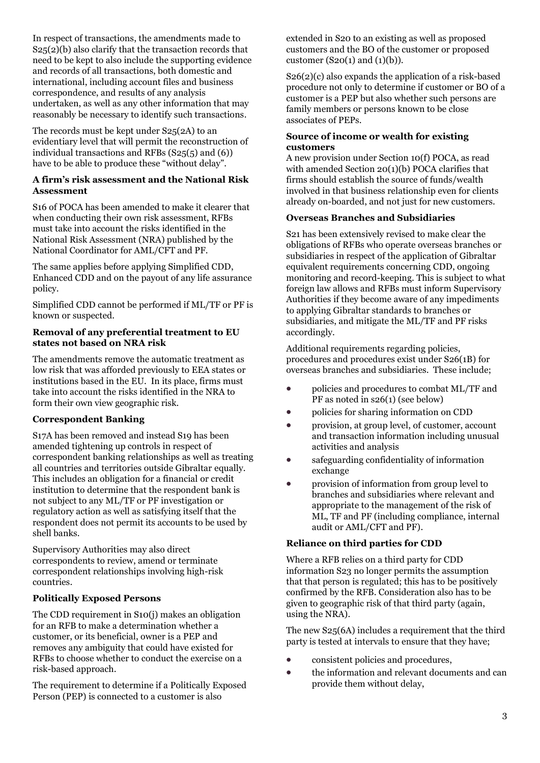In respect of transactions, the amendments made to S25(2)(b) also clarify that the transaction records that need to be kept to also include the supporting evidence and records of all transactions, both domestic and international, including account files and business correspondence, and results of any analysis undertaken, as well as any other information that may reasonably be necessary to identify such transactions.

The records must be kept under S25(2A) to an evidentiary level that will permit the reconstruction of individual transactions and RFBs (S25(5) and (6)) have to be able to produce these "without delay".

#### **A firm's risk assessment and the National Risk Assessment**

S16 of POCA has been amended to make it clearer that when conducting their own risk assessment, RFBs must take into account the risks identified in the National Risk Assessment (NRA) published by the National Coordinator for AML/CFT and PF.

The same applies before applying Simplified CDD, Enhanced CDD and on the payout of any life assurance policy.

Simplified CDD cannot be performed if ML/TF or PF is known or suspected.

#### **Removal of any preferential treatment to EU states not based on NRA risk**

The amendments remove the automatic treatment as low risk that was afforded previously to EEA states or institutions based in the EU. In its place, firms must take into account the risks identified in the NRA to form their own view geographic risk.

## **Correspondent Banking**

S17A has been removed and instead S19 has been amended tightening up controls in respect of correspondent banking relationships as well as treating all countries and territories outside Gibraltar equally. This includes an obligation for a financial or credit institution to determine that the respondent bank is not subject to any ML/TF or PF investigation or regulatory action as well as satisfying itself that the respondent does not permit its accounts to be used by shell banks.

Supervisory Authorities may also direct correspondents to review, amend or terminate correspondent relationships involving high-risk countries.

#### **Politically Exposed Persons**

The CDD requirement in S10(j) makes an obligation for an RFB to make a determination whether a customer, or its beneficial, owner is a PEP and removes any ambiguity that could have existed for RFBs to choose whether to conduct the exercise on a risk-based approach.

The requirement to determine if a Politically Exposed Person (PEP) is connected to a customer is also

extended in S20 to an existing as well as proposed customers and the BO of the customer or proposed customer  $(S20(1)$  and  $(1)(b)$ ).

S26(2)(c) also expands the application of a risk-based procedure not only to determine if customer or BO of a customer is a PEP but also whether such persons are family members or persons known to be close associates of PEPs.

#### **Source of income or wealth for existing customers**

A new provision under Section 10(f) POCA, as read with amended Section 20(1)(b) POCA clarifies that firms should establish the source of funds/wealth involved in that business relationship even for clients already on-boarded, and not just for new customers.

#### **Overseas Branches and Subsidiaries**

S21 has been extensively revised to make clear the obligations of RFBs who operate overseas branches or subsidiaries in respect of the application of Gibraltar equivalent requirements concerning CDD, ongoing monitoring and record-keeping. This is subject to what foreign law allows and RFBs must inform Supervisory Authorities if they become aware of any impediments to applying Gibraltar standards to branches or subsidiaries, and mitigate the ML/TF and PF risks accordingly.

Additional requirements regarding policies, procedures and procedures exist under S26(1B) for overseas branches and subsidiaries. These include;

- policies and procedures to combat ML/TF and PF as noted in s26(1) (see below)
- policies for sharing information on CDD
- provision, at group level, of customer, account and transaction information including unusual activities and analysis
- safeguarding confidentiality of information exchange
- provision of information from group level to branches and subsidiaries where relevant and appropriate to the management of the risk of ML, TF and PF (including compliance, internal audit or AML/CFT and PF).

#### **Reliance on third parties for CDD**

Where a RFB relies on a third party for CDD information S23 no longer permits the assumption that that person is regulated; this has to be positively confirmed by the RFB. Consideration also has to be given to geographic risk of that third party (again, using the NRA).

The new S25(6A) includes a requirement that the third party is tested at intervals to ensure that they have;

- consistent policies and procedures,
- the information and relevant documents and can provide them without delay,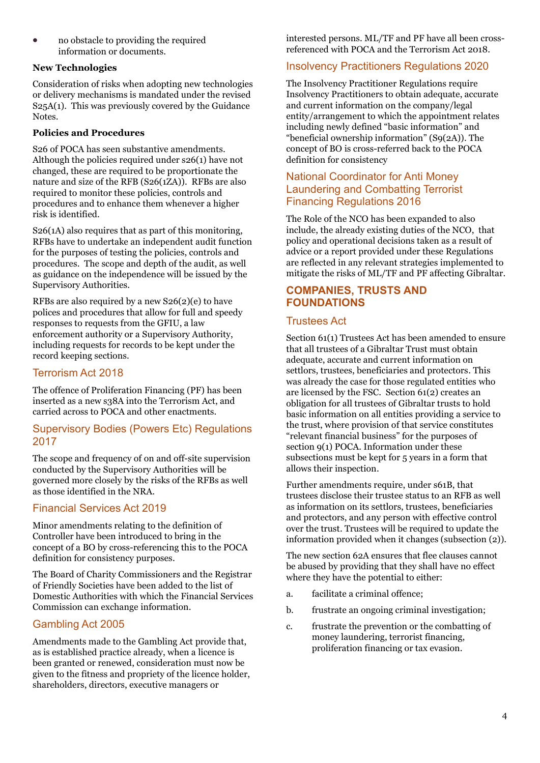• no obstacle to providing the required information or documents.

## **New Technologies**

Consideration of risks when adopting new technologies or delivery mechanisms is mandated under the revised S25A(1). This was previously covered by the Guidance Notes.

## **Policies and Procedures**

S26 of POCA has seen substantive amendments. Although the policies required under s26(1) have not changed, these are required to be proportionate the nature and size of the RFB (S26(1ZA)). RFBs are also required to monitor these policies, controls and procedures and to enhance them whenever a higher risk is identified.

S26(1A) also requires that as part of this monitoring, RFBs have to undertake an independent audit function for the purposes of testing the policies, controls and procedures. The scope and depth of the audit, as well as guidance on the independence will be issued by the Supervisory Authorities.

RFBs are also required by a new  $S_2(2)(e)$  to have polices and procedures that allow for full and speedy responses to requests from the GFIU, a law enforcement authority or a Supervisory Authority, including requests for records to be kept under the record keeping sections.

## Terrorism Act 2018

The offence of Proliferation Financing (PF) has been inserted as a new s38A into the Terrorism Act, and carried across to POCA and other enactments.

## Supervisory Bodies (Powers Etc) Regulations 2017

The scope and frequency of on and off-site supervision conducted by the Supervisory Authorities will be governed more closely by the risks of the RFBs as well as those identified in the NRA.

# Financial Services Act 2019

Minor amendments relating to the definition of Controller have been introduced to bring in the concept of a BO by cross-referencing this to the POCA definition for consistency purposes.

The Board of Charity Commissioners and the Registrar of Friendly Societies have been added to the list of Domestic Authorities with which the Financial Services Commission can exchange information.

# Gambling Act 2005

Amendments made to the Gambling Act provide that, as is established practice already, when a licence is been granted or renewed, consideration must now be given to the fitness and propriety of the licence holder, shareholders, directors, executive managers or

interested persons. ML/TF and PF have all been crossreferenced with POCA and the Terrorism Act 2018.

# Insolvency Practitioners Regulations 2020

The Insolvency Practitioner Regulations require Insolvency Practitioners to obtain adequate, accurate and current information on the company/legal entity/arrangement to which the appointment relates including newly defined "basic information" and "beneficial ownership information" (S9(2A)). The concept of BO is cross-referred back to the POCA definition for consistency

## National Coordinator for Anti Money Laundering and Combatting Terrorist Financing Regulations 2016

The Role of the NCO has been expanded to also include, the already existing duties of the NCO, that policy and operational decisions taken as a result of advice or a report provided under these Regulations are reflected in any relevant strategies implemented to mitigate the risks of ML/TF and PF affecting Gibraltar.

# **COMPANIES, TRUSTS AND FOUNDATIONS**

## Trustees Act

Section 61(1) Trustees Act has been amended to ensure that all trustees of a Gibraltar Trust must obtain adequate, accurate and current information on settlors, trustees, beneficiaries and protectors. This was already the case for those regulated entities who are licensed by the FSC. Section 61(2) creates an obligation for all trustees of Gibraltar trusts to hold basic information on all entities providing a service to the trust, where provision of that service constitutes "relevant financial business" for the purposes of section 9(1) POCA. Information under these subsections must be kept for 5 years in a form that allows their inspection.

Further amendments require, under s61B, that trustees disclose their trustee status to an RFB as well as information on its settlors, trustees, beneficiaries and protectors, and any person with effective control over the trust. Trustees will be required to update the information provided when it changes (subsection (2)).

The new section 62A ensures that flee clauses cannot be abused by providing that they shall have no effect where they have the potential to either:

- a. facilitate a criminal offence;
- b. frustrate an ongoing criminal investigation;
- c. frustrate the prevention or the combatting of money laundering, terrorist financing, proliferation financing or tax evasion.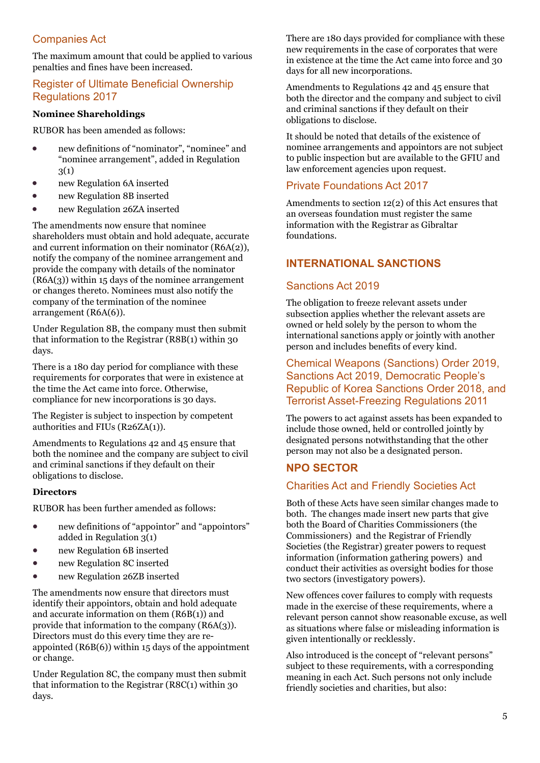# Companies Act

The maximum amount that could be applied to various penalties and fines have been increased.

# Register of Ultimate Beneficial Ownership Regulations 2017

## **Nominee Shareholdings**

RUBOR has been amended as follows:

- new definitions of "nominator", "nominee" and "nominee arrangement", added in Regulation 3(1)
- new Regulation 6A inserted
- new Regulation 8B inserted
- new Regulation 26ZA inserted

The amendments now ensure that nominee shareholders must obtain and hold adequate, accurate and current information on their nominator (R6A(2)), notify the company of the nominee arrangement and provide the company with details of the nominator  $(R6A(3))$  within 15 days of the nominee arrangement or changes thereto. Nominees must also notify the company of the termination of the nominee arrangement (R6A(6)).

Under Regulation 8B, the company must then submit that information to the Registrar (R8B(1) within 30 days.

There is a 180 day period for compliance with these requirements for corporates that were in existence at the time the Act came into force. Otherwise, compliance for new incorporations is 30 days.

The Register is subject to inspection by competent authorities and FIUs (R26ZA(1)).

Amendments to Regulations 42 and 45 ensure that both the nominee and the company are subject to civil and criminal sanctions if they default on their obligations to disclose.

#### **Directors**

RUBOR has been further amended as follows:

- new definitions of "appointor" and "appointors" added in Regulation 3(1)
- new Regulation 6B inserted
- new Regulation 8C inserted
- new Regulation 26ZB inserted

The amendments now ensure that directors must identify their appointors, obtain and hold adequate and accurate information on them (R6B(1)) and provide that information to the company (R6A(3)). Directors must do this every time they are reappointed (R6B(6)) within 15 days of the appointment or change.

Under Regulation 8C, the company must then submit that information to the Registrar (R8C(1) within 30 days.

There are 180 days provided for compliance with these new requirements in the case of corporates that were in existence at the time the Act came into force and 30 days for all new incorporations.

Amendments to Regulations 42 and 45 ensure that both the director and the company and subject to civil and criminal sanctions if they default on their obligations to disclose.

It should be noted that details of the existence of nominee arrangements and appointors are not subject to public inspection but are available to the GFIU and law enforcement agencies upon request.

## Private Foundations Act 2017

Amendments to section 12(2) of this Act ensures that an overseas foundation must register the same information with the Registrar as Gibraltar foundations.

# **INTERNATIONAL SANCTIONS**

## Sanctions Act 2019

The obligation to freeze relevant assets under subsection applies whether the relevant assets are owned or held solely by the person to whom the international sanctions apply or jointly with another person and includes benefits of every kind.

## Chemical Weapons (Sanctions) Order 2019, Sanctions Act 2019, Democratic People's Republic of Korea Sanctions Order 2018, and Terrorist Asset-Freezing Regulations 2011

The powers to act against assets has been expanded to include those owned, held or controlled jointly by designated persons notwithstanding that the other person may not also be a designated person.

## **NPO SECTOR**

## Charities Act and Friendly Societies Act

Both of these Acts have seen similar changes made to both. The changes made insert new parts that give both the Board of Charities Commissioners (the Commissioners) and the Registrar of Friendly Societies (the Registrar) greater powers to request information (information gathering powers) and conduct their activities as oversight bodies for those two sectors (investigatory powers).

New offences cover failures to comply with requests made in the exercise of these requirements, where a relevant person cannot show reasonable excuse, as well as situations where false or misleading information is given intentionally or recklessly.

Also introduced is the concept of "relevant persons" subject to these requirements, with a corresponding meaning in each Act. Such persons not only include friendly societies and charities, but also: